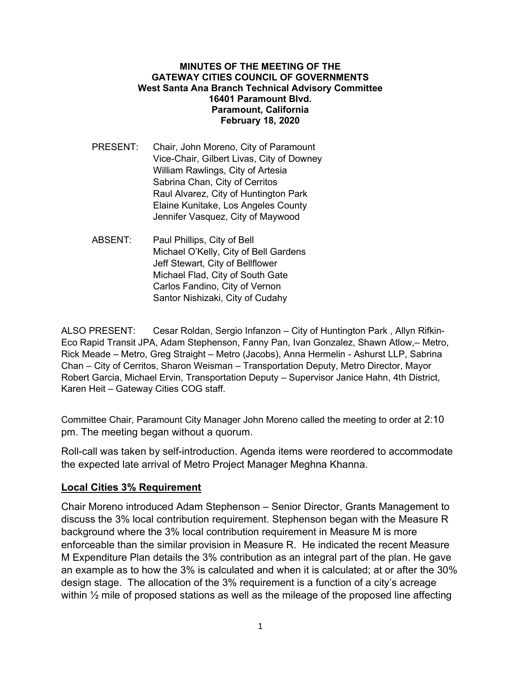## MINUTES OF THE MEETING OF THE GATEWAY CITIES COUNCIL OF GOVERNMENTS West Santa Ana Branch Technical Advisory Committee 16401 Paramount Blvd. Paramount, California February 18, 2020

- PRESENT: Chair, John Moreno, City of Paramount Vice-Chair, Gilbert Livas, City of Downey William Rawlings, City of Artesia Sabrina Chan, City of Cerritos Raul Alvarez, City of Huntington Park Elaine Kunitake, Los Angeles County Jennifer Vasquez, City of Maywood
- ABSENT: Paul Phillips, City of Bell Michael O'Kelly, City of Bell Gardens Jeff Stewart, City of Bellflower Michael Flad, City of South Gate Carlos Fandino, City of Vernon Santor Nishizaki, City of Cudahy

ALSO PRESENT: Cesar Roldan, Sergio Infanzon – City of Huntington Park , Allyn Rifkin-Eco Rapid Transit JPA, Adam Stephenson, Fanny Pan, Ivan Gonzalez, Shawn Atlow,– Metro, Rick Meade – Metro, Greg Straight – Metro (Jacobs), Anna Hermelin - Ashurst LLP, Sabrina Chan – City of Cerritos, Sharon Weisman – Transportation Deputy, Metro Director, Mayor Robert Garcia, Michael Ervin, Transportation Deputy – Supervisor Janice Hahn, 4th District, Karen Heit – Gateway Cities COG staff.

Committee Chair, Paramount City Manager John Moreno called the meeting to order at 2:10 pm. The meeting began without a quorum.

Roll-call was taken by self-introduction. Agenda items were reordered to accommodate the expected late arrival of Metro Project Manager Meghna Khanna.

## Local Cities 3% Requirement

Chair Moreno introduced Adam Stephenson – Senior Director, Grants Management to discuss the 3% local contribution requirement. Stephenson began with the Measure R background where the 3% local contribution requirement in Measure M is more enforceable than the similar provision in Measure R. He indicated the recent Measure M Expenditure Plan details the 3% contribution as an integral part of the plan. He gave an example as to how the 3% is calculated and when it is calculated; at or after the 30% design stage. The allocation of the 3% requirement is a function of a city's acreage within  $\frac{1}{2}$  mile of proposed stations as well as the mileage of the proposed line affecting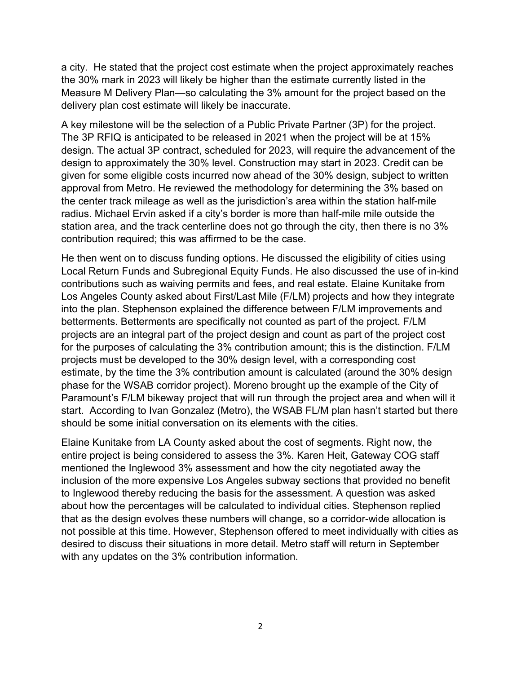a city. He stated that the project cost estimate when the project approximately reaches the 30% mark in 2023 will likely be higher than the estimate currently listed in the Measure M Delivery Plan—so calculating the 3% amount for the project based on the delivery plan cost estimate will likely be inaccurate.

A key milestone will be the selection of a Public Private Partner (3P) for the project. The 3P RFIQ is anticipated to be released in 2021 when the project will be at 15% design. The actual 3P contract, scheduled for 2023, will require the advancement of the design to approximately the 30% level. Construction may start in 2023. Credit can be given for some eligible costs incurred now ahead of the 30% design, subject to written approval from Metro. He reviewed the methodology for determining the 3% based on the center track mileage as well as the jurisdiction's area within the station half-mile radius. Michael Ervin asked if a city's border is more than half-mile mile outside the station area, and the track centerline does not go through the city, then there is no 3% contribution required; this was affirmed to be the case.

He then went on to discuss funding options. He discussed the eligibility of cities using Local Return Funds and Subregional Equity Funds. He also discussed the use of in-kind contributions such as waiving permits and fees, and real estate. Elaine Kunitake from Los Angeles County asked about First/Last Mile (F/LM) projects and how they integrate into the plan. Stephenson explained the difference between F/LM improvements and betterments. Betterments are specifically not counted as part of the project. F/LM projects are an integral part of the project design and count as part of the project cost for the purposes of calculating the 3% contribution amount; this is the distinction. F/LM projects must be developed to the 30% design level, with a corresponding cost estimate, by the time the 3% contribution amount is calculated (around the 30% design phase for the WSAB corridor project). Moreno brought up the example of the City of Paramount's F/LM bikeway project that will run through the project area and when will it start. According to Ivan Gonzalez (Metro), the WSAB FL/M plan hasn't started but there should be some initial conversation on its elements with the cities.

Elaine Kunitake from LA County asked about the cost of segments. Right now, the entire project is being considered to assess the 3%. Karen Heit, Gateway COG staff mentioned the Inglewood 3% assessment and how the city negotiated away the inclusion of the more expensive Los Angeles subway sections that provided no benefit to Inglewood thereby reducing the basis for the assessment. A question was asked about how the percentages will be calculated to individual cities. Stephenson replied that as the design evolves these numbers will change, so a corridor-wide allocation is not possible at this time. However, Stephenson offered to meet individually with cities as desired to discuss their situations in more detail. Metro staff will return in September with any updates on the 3% contribution information.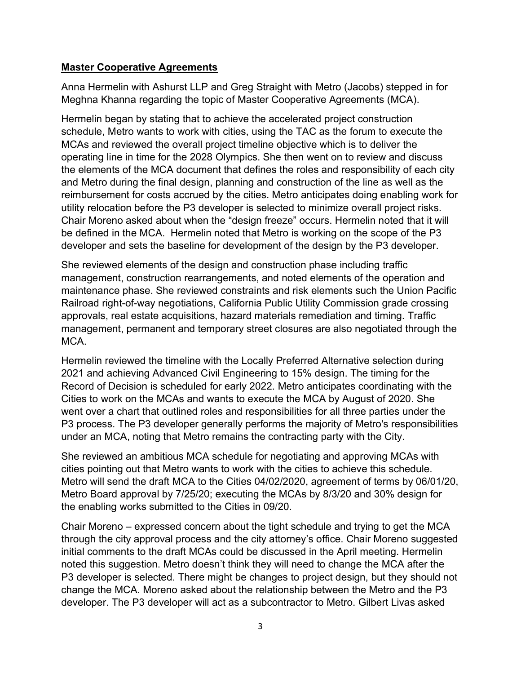## Master Cooperative Agreements

Anna Hermelin with Ashurst LLP and Greg Straight with Metro (Jacobs) stepped in for Meghna Khanna regarding the topic of Master Cooperative Agreements (MCA).

Hermelin began by stating that to achieve the accelerated project construction schedule, Metro wants to work with cities, using the TAC as the forum to execute the MCAs and reviewed the overall project timeline objective which is to deliver the operating line in time for the 2028 Olympics. She then went on to review and discuss the elements of the MCA document that defines the roles and responsibility of each city and Metro during the final design, planning and construction of the line as well as the reimbursement for costs accrued by the cities. Metro anticipates doing enabling work for utility relocation before the P3 developer is selected to minimize overall project risks. Chair Moreno asked about when the "design freeze" occurs. Hermelin noted that it will be defined in the MCA. Hermelin noted that Metro is working on the scope of the P3 developer and sets the baseline for development of the design by the P3 developer.

She reviewed elements of the design and construction phase including traffic management, construction rearrangements, and noted elements of the operation and maintenance phase. She reviewed constraints and risk elements such the Union Pacific Railroad right-of-way negotiations, California Public Utility Commission grade crossing approvals, real estate acquisitions, hazard materials remediation and timing. Traffic management, permanent and temporary street closures are also negotiated through the MCA.

Hermelin reviewed the timeline with the Locally Preferred Alternative selection during 2021 and achieving Advanced Civil Engineering to 15% design. The timing for the Record of Decision is scheduled for early 2022. Metro anticipates coordinating with the Cities to work on the MCAs and wants to execute the MCA by August of 2020. She went over a chart that outlined roles and responsibilities for all three parties under the P3 process. The P3 developer generally performs the majority of Metro's responsibilities under an MCA, noting that Metro remains the contracting party with the City.

She reviewed an ambitious MCA schedule for negotiating and approving MCAs with cities pointing out that Metro wants to work with the cities to achieve this schedule. Metro will send the draft MCA to the Cities 04/02/2020, agreement of terms by 06/01/20, Metro Board approval by 7/25/20; executing the MCAs by 8/3/20 and 30% design for the enabling works submitted to the Cities in 09/20.

Chair Moreno – expressed concern about the tight schedule and trying to get the MCA through the city approval process and the city attorney's office. Chair Moreno suggested initial comments to the draft MCAs could be discussed in the April meeting. Hermelin noted this suggestion. Metro doesn't think they will need to change the MCA after the P3 developer is selected. There might be changes to project design, but they should not change the MCA. Moreno asked about the relationship between the Metro and the P3 developer. The P3 developer will act as a subcontractor to Metro. Gilbert Livas asked